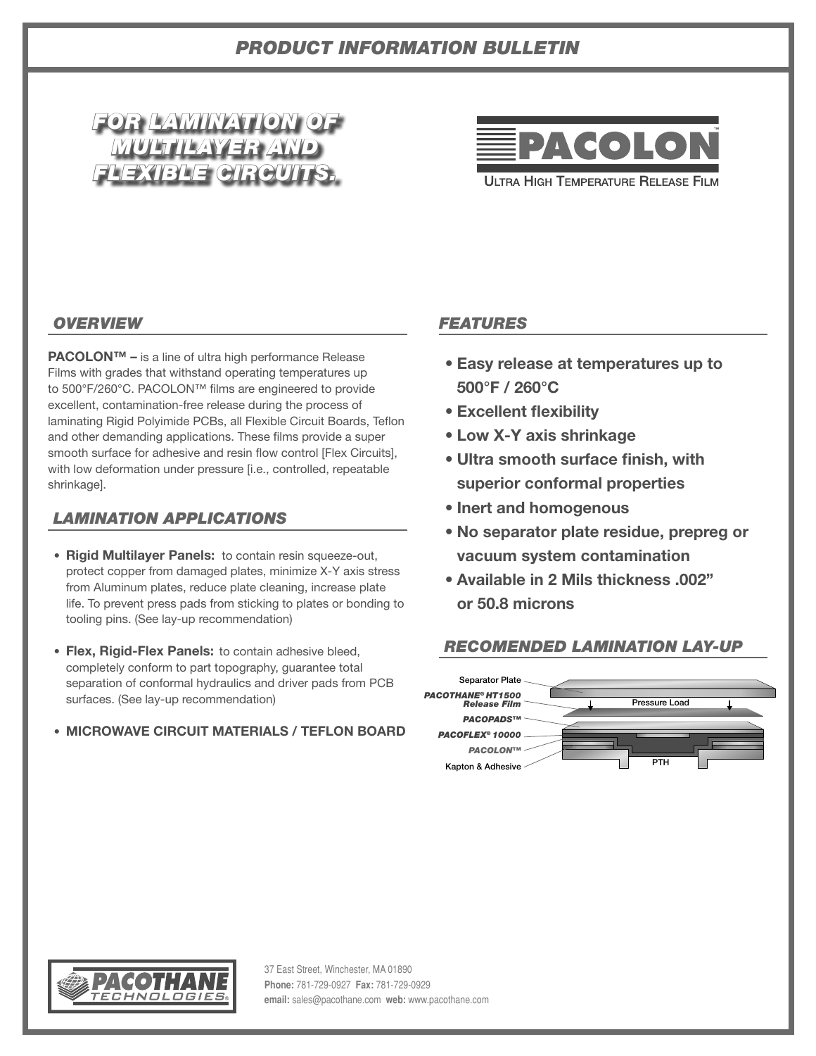# *PRODUCT INFORMATION BULLETIN*





**ULTRA HIGH TEMPERATURE RELEASE FILM** 

# *OVERVIEW*

**PACOLON™ –** is a line of ultra high performance Release Films with grades that withstand operating temperatures up to 500°F/260°C. PACOLON™ films are engineered to provide excellent, contamination-free release during the process of laminating Rigid Polyimide PCBs, all Flexible Circuit Boards, Teflon and other demanding applications. These films provide a super smooth surface for adhesive and resin flow control [Flex Circuits], with low deformation under pressure [i.e., controlled, repeatable shrinkage].

## *LAMINATION APPLICATIONS*

- **Rigid Multilayer Panels:** to contain resin squeeze-out, protect copper from damaged plates, minimize X-Y axis stress from Aluminum plates, reduce plate cleaning, increase plate life. To prevent press pads from sticking to plates or bonding to tooling pins. (See lay-up recommendation)
- **Flex, Rigid-Flex Panels:** to contain adhesive bleed, completely conform to part topography, guarantee total separation of conformal hydraulics and driver pads from PCB surfaces. (See lay-up recommendation)

# • **MICROWAVE CIRCUIT MATERIALS / TEFLON BOARD**

## *FEATURES*

- **• Easy release at temperatures up to 500°F / 260°C**
- **• Excellent flexibility**
- **• Low X-Y axis shrinkage**
- **• Ultra smooth surface finish, with superior conformal properties**
- **• Inert and homogenous**
- **• No separator plate residue, prepreg or vacuum system contamination**
- **• Available in 2 Mils thickness .002" or 50.8 microns**

#### *RECOMENDED LAMINATION LAY-UP*





37 East Street, Winchester, MA 01890 **Phone:** 781-729-0927 **Fax:** 781-729-0929 **email:** sales@pacothane.com **web:** www.pacothane.com